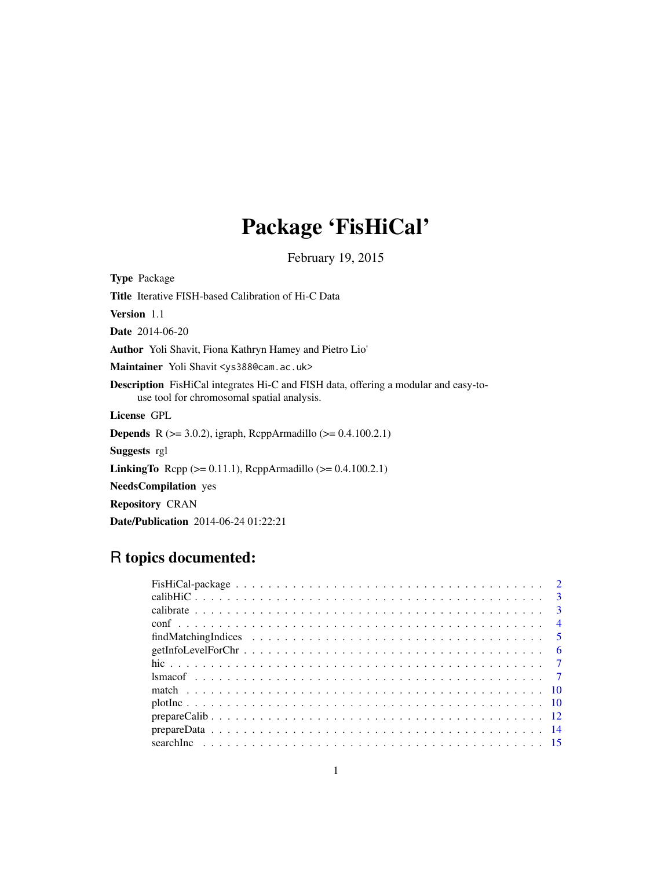# Package 'FisHiCal'

February 19, 2015

<span id="page-0-0"></span>

| <b>Type</b> Package                                                                                                                      |
|------------------------------------------------------------------------------------------------------------------------------------------|
| <b>Title</b> Iterative FISH-based Calibration of Hi-C Data                                                                               |
| <b>Version</b> 1.1                                                                                                                       |
| <b>Date</b> 2014-06-20                                                                                                                   |
| <b>Author</b> Yoli Shavit, Fiona Kathryn Hamey and Pietro Lio'                                                                           |
| Maintainer Yoli Shavit < ys388@cam.ac.uk>                                                                                                |
| <b>Description</b> FisHiCal integrates Hi-C and FISH data, offering a modular and easy-to-<br>use tool for chromosomal spatial analysis. |
| License GPL                                                                                                                              |
| <b>Depends</b> R ( $>= 3.0.2$ ), igraph, RcppArmadillo ( $>= 0.4.100.2.1$ )                                                              |
| <b>Suggests</b> rgl                                                                                                                      |
| <b>LinkingTo</b> Repp ( $>= 0.11.1$ ), ReppArmadillo ( $>= 0.4.100.2.1$ )                                                                |
| <b>NeedsCompilation</b> yes                                                                                                              |
| <b>Repository CRAN</b>                                                                                                                   |
| <b>Date/Publication</b> 2014-06-24 01:22:21                                                                                              |

### R topics documented: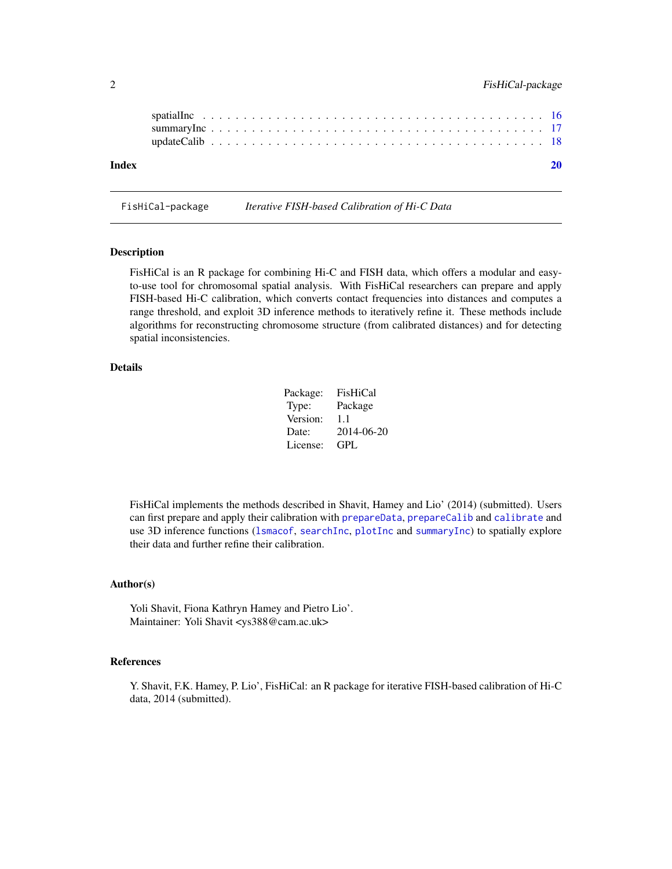<span id="page-1-0"></span>

| Index |  |  |  |  |  |  |  |  |  |  |  |  |  |  |  |  |  |  |  |
|-------|--|--|--|--|--|--|--|--|--|--|--|--|--|--|--|--|--|--|--|
|       |  |  |  |  |  |  |  |  |  |  |  |  |  |  |  |  |  |  |  |
|       |  |  |  |  |  |  |  |  |  |  |  |  |  |  |  |  |  |  |  |
|       |  |  |  |  |  |  |  |  |  |  |  |  |  |  |  |  |  |  |  |

FisHiCal-package *Iterative FISH-based Calibration of Hi-C Data*

#### Description

FisHiCal is an R package for combining Hi-C and FISH data, which offers a modular and easyto-use tool for chromosomal spatial analysis. With FisHiCal researchers can prepare and apply FISH-based Hi-C calibration, which converts contact frequencies into distances and computes a range threshold, and exploit 3D inference methods to iteratively refine it. These methods include algorithms for reconstructing chromosome structure (from calibrated distances) and for detecting spatial inconsistencies.

#### Details

| Package: | FisHiCal   |
|----------|------------|
| Type:    | Package    |
| Version: | 1.1        |
| Date:    | 2014-06-20 |
| License: | GPL        |

FisHiCal implements the methods described in Shavit, Hamey and Lio' (2014) (submitted). Users can first prepare and apply their calibration with [prepareData](#page-13-1), [prepareCalib](#page-11-1) and [calibrate](#page-2-1) and use 3D inference functions ([lsmacof](#page-6-1), [searchInc](#page-14-1), [plotInc](#page-9-1) and [summaryInc](#page-16-1)) to spatially explore their data and further refine their calibration.

#### Author(s)

Yoli Shavit, Fiona Kathryn Hamey and Pietro Lio'. Maintainer: Yoli Shavit <ys388@cam.ac.uk>

#### References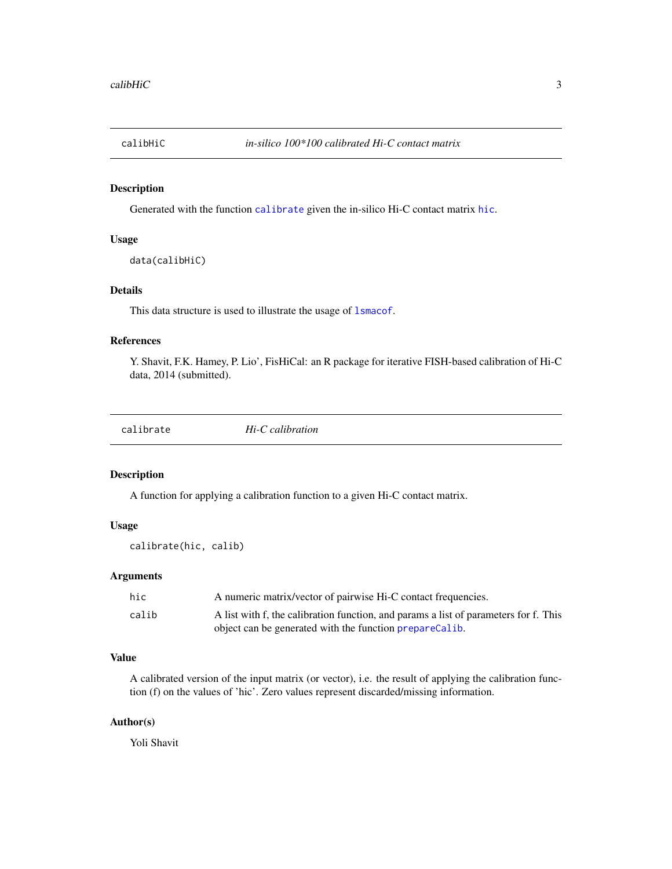<span id="page-2-2"></span><span id="page-2-0"></span>

Generated with the function [calibrate](#page-2-1) given the in-silico Hi-C contact matrix [hic](#page-6-2).

#### Usage

```
data(calibHiC)
```
#### Details

This data structure is used to illustrate the usage of [lsmacof](#page-6-1).

#### References

Y. Shavit, F.K. Hamey, P. Lio', FisHiCal: an R package for iterative FISH-based calibration of Hi-C data, 2014 (submitted).

<span id="page-2-1"></span>

|  | calibrate |  |
|--|-----------|--|
|  |           |  |

 $Hi-C$  *calibration* 

#### Description

A function for applying a calibration function to a given Hi-C contact matrix.

#### Usage

calibrate(hic, calib)

#### Arguments

| hic   | A numeric matrix/vector of pairwise Hi-C contact frequencies.                        |
|-------|--------------------------------------------------------------------------------------|
| calib | A list with f, the calibration function, and params a list of parameters for f. This |
|       | object can be generated with the function prepareCalib.                              |

#### Value

A calibrated version of the input matrix (or vector), i.e. the result of applying the calibration function (f) on the values of 'hic'. Zero values represent discarded/missing information.

#### Author(s)

Yoli Shavit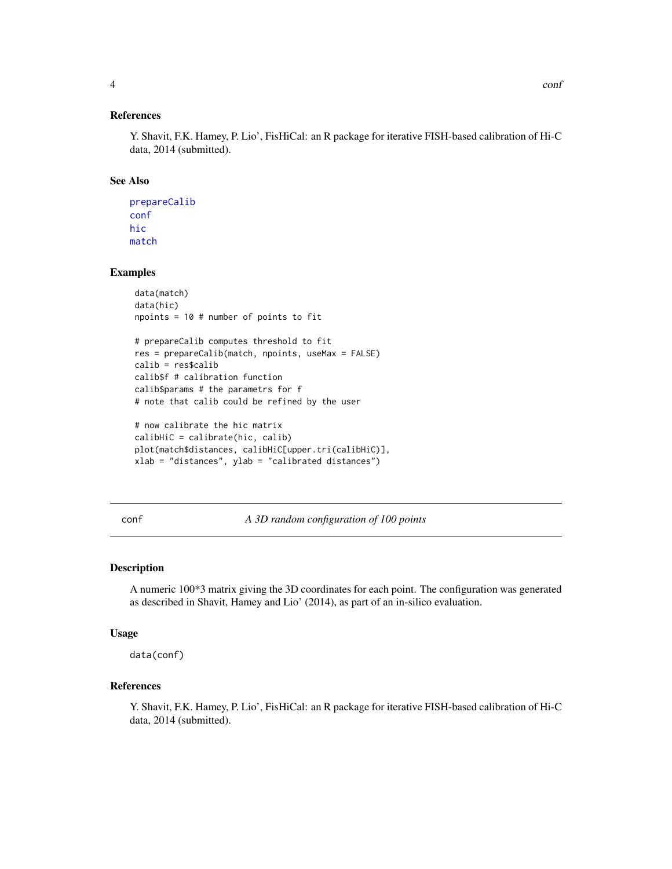#### <span id="page-3-0"></span>References

Y. Shavit, F.K. Hamey, P. Lio', FisHiCal: an R package for iterative FISH-based calibration of Hi-C data, 2014 (submitted).

#### See Also

[prepareCalib](#page-11-1) [conf](#page-3-1) [hic](#page-6-2) [match](#page-9-2)

#### Examples

```
data(match)
data(hic)
npoints = 10 # number of points to fit
```

```
# prepareCalib computes threshold to fit
res = prepareCalib(match, npoints, useMax = FALSE)
calib = res$calib
calib$f # calibration function
calib$params # the parametrs for f
# note that calib could be refined by the user
```

```
# now calibrate the hic matrix
calibHiC = calibrate(hic, calib)
plot(match$distances, calibHiC[upper.tri(calibHiC)],
xlab = "distances", ylab = "calibrated distances")
```
<span id="page-3-1"></span>conf *A 3D random configuration of 100 points*

#### Description

A numeric 100\*3 matrix giving the 3D coordinates for each point. The configuration was generated as described in Shavit, Hamey and Lio' (2014), as part of an in-silico evaluation.

#### Usage

data(conf)

#### References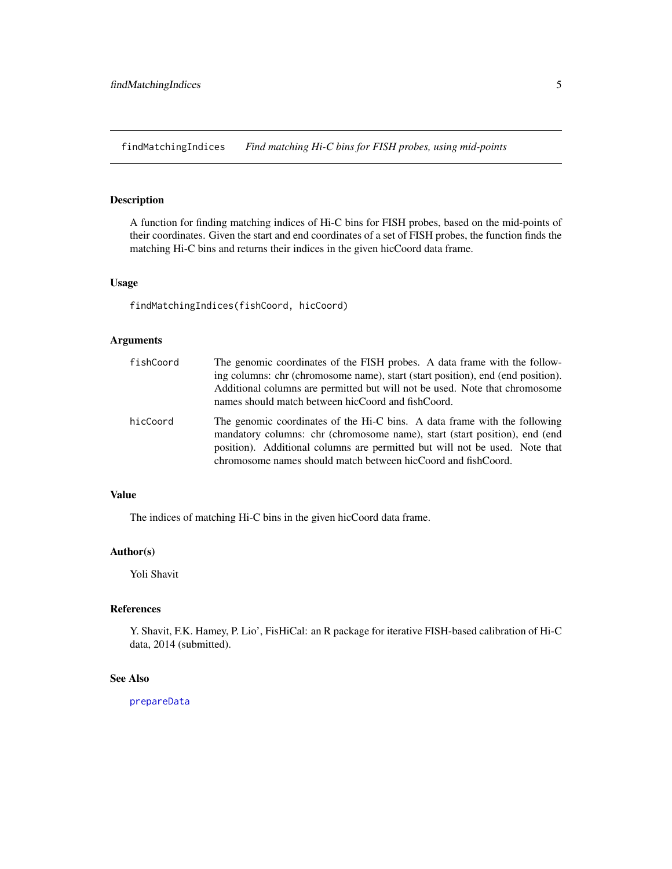<span id="page-4-1"></span><span id="page-4-0"></span>findMatchingIndices *Find matching Hi-C bins for FISH probes, using mid-points*

#### Description

A function for finding matching indices of Hi-C bins for FISH probes, based on the mid-points of their coordinates. Given the start and end coordinates of a set of FISH probes, the function finds the matching Hi-C bins and returns their indices in the given hicCoord data frame.

#### Usage

findMatchingIndices(fishCoord, hicCoord)

#### Arguments

| fishCoord | The genomic coordinates of the FISH probes. A data frame with the follow-<br>ing columns: chr (chromosome name), start (start position), end (end position).<br>Additional columns are permitted but will not be used. Note that chromosome<br>names should match between hicCoord and fishCoord.       |
|-----------|---------------------------------------------------------------------------------------------------------------------------------------------------------------------------------------------------------------------------------------------------------------------------------------------------------|
| hicCoord  | The genomic coordinates of the Hi-C bins. A data frame with the following<br>mandatory columns: chr (chromosome name), start (start position), end (end<br>position). Additional columns are permitted but will not be used. Note that<br>chromosome names should match between hicCoord and fishCoord. |

#### Value

The indices of matching Hi-C bins in the given hicCoord data frame.

#### Author(s)

Yoli Shavit

#### References

Y. Shavit, F.K. Hamey, P. Lio', FisHiCal: an R package for iterative FISH-based calibration of Hi-C data, 2014 (submitted).

#### See Also

[prepareData](#page-13-1)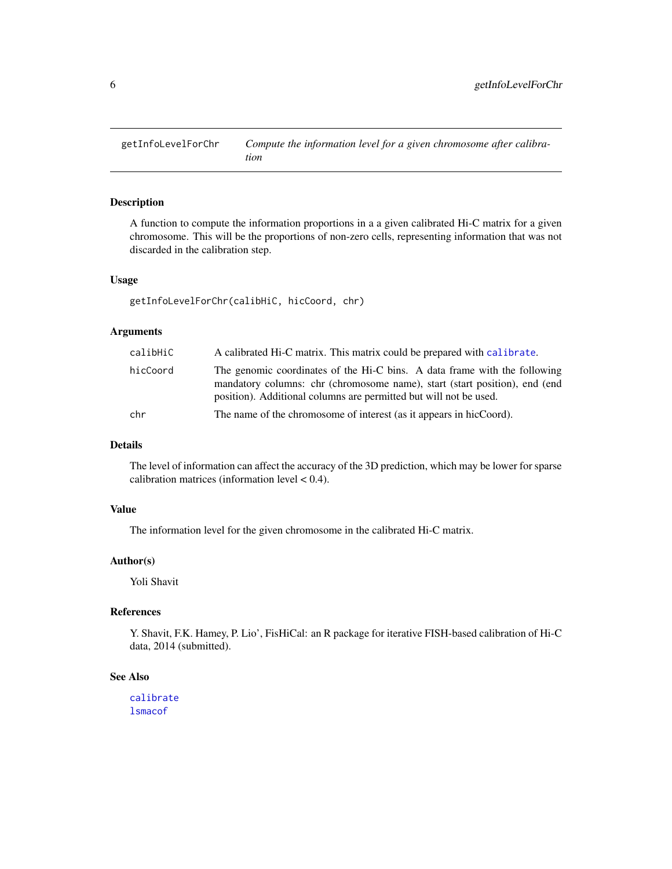<span id="page-5-0"></span>

A function to compute the information proportions in a a given calibrated Hi-C matrix for a given chromosome. This will be the proportions of non-zero cells, representing information that was not discarded in the calibration step.

#### Usage

```
getInfoLevelForChr(calibHiC, hicCoord, chr)
```
#### Arguments

| calibHiC | A calibrated Hi-C matrix. This matrix could be prepared with calibrate.                                                                                                                                                      |
|----------|------------------------------------------------------------------------------------------------------------------------------------------------------------------------------------------------------------------------------|
| hicCoord | The genomic coordinates of the Hi-C bins. A data frame with the following<br>mandatory columns: chr (chromosome name), start (start position), end (end<br>position). Additional columns are permitted but will not be used. |
| chr      | The name of the chromosome of interest (as it appears in hicCoord).                                                                                                                                                          |

#### Details

The level of information can affect the accuracy of the 3D prediction, which may be lower for sparse calibration matrices (information level < 0.4).

#### Value

The information level for the given chromosome in the calibrated Hi-C matrix.

#### Author(s)

Yoli Shavit

#### References

Y. Shavit, F.K. Hamey, P. Lio', FisHiCal: an R package for iterative FISH-based calibration of Hi-C data, 2014 (submitted).

#### See Also

[calibrate](#page-2-1) [lsmacof](#page-6-1)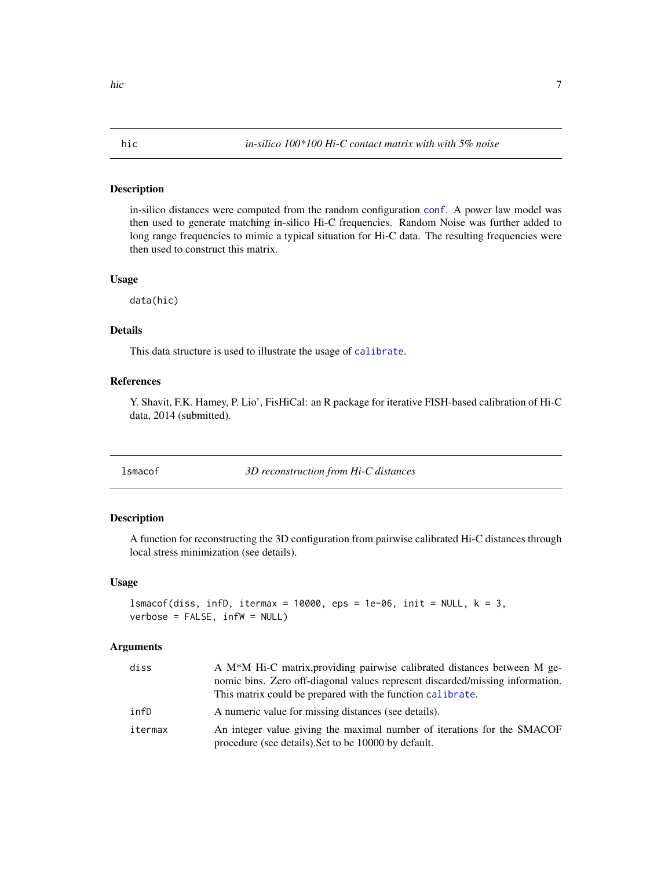<span id="page-6-2"></span><span id="page-6-0"></span>in-silico distances were computed from the random configuration [conf](#page-3-1). A power law model was then used to generate matching in-silico Hi-C frequencies. Random Noise was further added to long range frequencies to mimic a typical situation for Hi-C data. The resulting frequencies were then used to construct this matrix.

#### Usage

data(hic)

#### Details

This data structure is used to illustrate the usage of [calibrate](#page-2-1).

#### References

Y. Shavit, F.K. Hamey, P. Lio', FisHiCal: an R package for iterative FISH-based calibration of Hi-C data, 2014 (submitted).

<span id="page-6-1"></span>lsmacof *3D reconstruction from Hi-C distances*

#### Description

A function for reconstructing the 3D configuration from pairwise calibrated Hi-C distances through local stress minimization (see details).

#### Usage

```
lsmacof(diss, infD, itermax = 10000, eps = 1e-06, init = NULL, k = 3,verbose = FALSE, infW = NULL)
```
#### Arguments

| diss    | A M <sup>*</sup> M Hi-C matrix, providing pairwise calibrated distances between M ge-<br>nomic bins. Zero off-diagonal values represent discarded/missing information.<br>This matrix could be prepared with the function calibrate. |
|---------|--------------------------------------------------------------------------------------------------------------------------------------------------------------------------------------------------------------------------------------|
| infD    | A numeric value for missing distances (see details).                                                                                                                                                                                 |
| itermax | An integer value giving the maximal number of iterations for the SMACOF<br>procedure (see details). Set to be 10000 by default.                                                                                                      |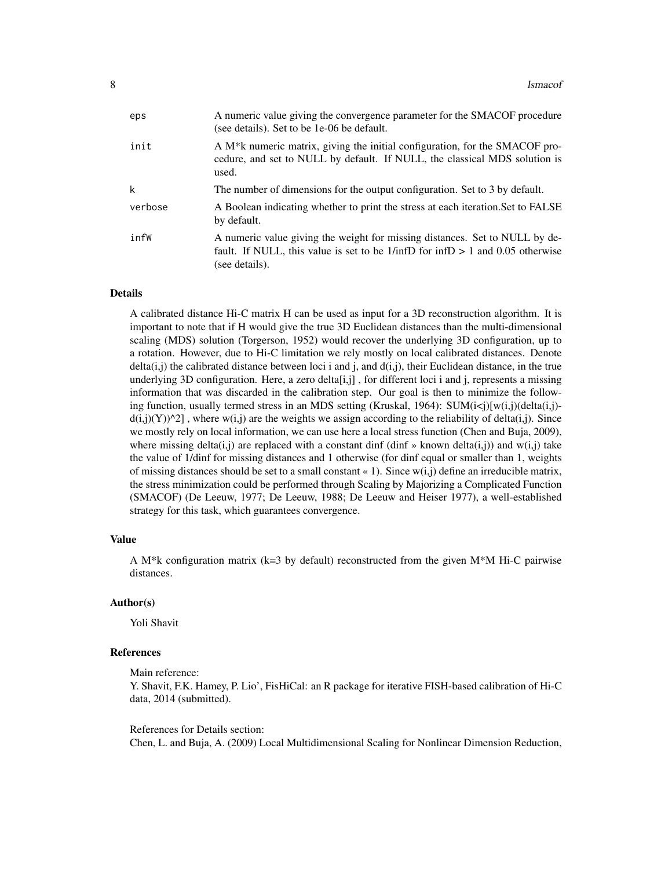| eps     | A numeric value giving the convergence parameter for the SMACOF procedure<br>(see details). Set to be 1e-06 be default.                                                                           |
|---------|---------------------------------------------------------------------------------------------------------------------------------------------------------------------------------------------------|
| init    | A M <sup>*</sup> k numeric matrix, giving the initial configuration, for the SMACOF pro-<br>cedure, and set to NULL by default. If NULL, the classical MDS solution is<br>used.                   |
| k       | The number of dimensions for the output configuration. Set to 3 by default.                                                                                                                       |
| verbose | A Boolean indicating whether to print the stress at each iteration. Set to FALSE<br>by default.                                                                                                   |
| infW    | A numeric value giving the weight for missing distances. Set to NULL by de-<br>fault. If NULL, this value is set to be $1/\text{inf}D$ for $\text{inf}D > 1$ and 0.05 otherwise<br>(see details). |

#### Details

A calibrated distance Hi-C matrix H can be used as input for a 3D reconstruction algorithm. It is important to note that if H would give the true 3D Euclidean distances than the multi-dimensional scaling (MDS) solution (Torgerson, 1952) would recover the underlying 3D configuration, up to a rotation. However, due to Hi-C limitation we rely mostly on local calibrated distances. Denote  $delta(i,j)$  the calibrated distance between loci i and j, and  $d(i,j)$ , their Euclidean distance, in the true underlying 3D configuration. Here, a zero delta $[i, j]$ , for different loci i and j, represents a missing information that was discarded in the calibration step. Our goal is then to minimize the following function, usually termed stress in an MDS setting (Kruskal, 1964): SUM $(i\le j)$ [w $(i,j)$ ](delta $(i,j)$  $d(i,j)(Y)$ <sup> $\uparrow$ </sup>2], where w(i,j) are the weights we assign according to the reliability of delta(i,j). Since we mostly rely on local information, we can use here a local stress function (Chen and Buja, 2009), where missing delta(i,j) are replaced with a constant dinf (dinf » known delta(i,j)) and w(i,j) take the value of 1/dinf for missing distances and 1 otherwise (for dinf equal or smaller than 1, weights of missing distances should be set to a small constant  $\alpha$  1). Since  $w(i,j)$  define an irreducible matrix, the stress minimization could be performed through Scaling by Majorizing a Complicated Function (SMACOF) (De Leeuw, 1977; De Leeuw, 1988; De Leeuw and Heiser 1977), a well-established strategy for this task, which guarantees convergence.

#### Value

A M<sup>\*</sup>k configuration matrix ( $k=3$  by default) reconstructed from the given M<sup>\*</sup>M Hi-C pairwise distances.

#### Author(s)

Yoli Shavit

#### References

Main reference:

Y. Shavit, F.K. Hamey, P. Lio', FisHiCal: an R package for iterative FISH-based calibration of Hi-C data, 2014 (submitted).

References for Details section: Chen, L. and Buja, A. (2009) Local Multidimensional Scaling for Nonlinear Dimension Reduction,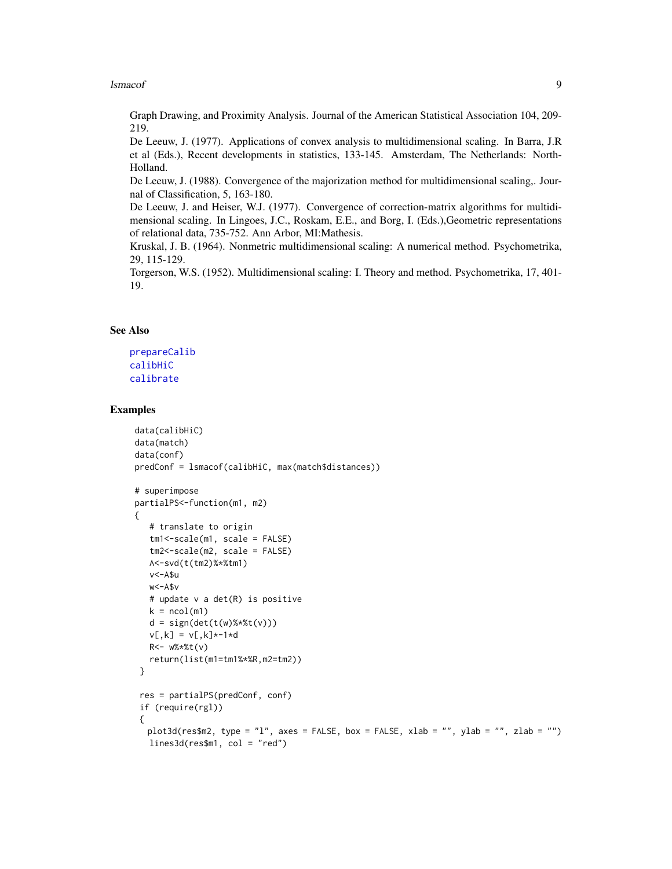#### <span id="page-8-0"></span>lsmacof 9

Graph Drawing, and Proximity Analysis. Journal of the American Statistical Association 104, 209- 219.

De Leeuw, J. (1977). Applications of convex analysis to multidimensional scaling. In Barra, J.R et al (Eds.), Recent developments in statistics, 133-145. Amsterdam, The Netherlands: North-Holland.

De Leeuw, J. (1988). Convergence of the majorization method for multidimensional scaling,. Journal of Classification, 5, 163-180.

De Leeuw, J. and Heiser, W.J. (1977). Convergence of correction-matrix algorithms for multidimensional scaling. In Lingoes, J.C., Roskam, E.E., and Borg, I. (Eds.),Geometric representations of relational data, 735-752. Ann Arbor, MI:Mathesis.

Kruskal, J. B. (1964). Nonmetric multidimensional scaling: A numerical method. Psychometrika, 29, 115-129.

Torgerson, W.S. (1952). Multidimensional scaling: I. Theory and method. Psychometrika, 17, 401- 19.

#### See Also

```
prepareCalib
calibHiC
calibrate
```

```
data(calibHiC)
data(match)
data(conf)
predConf = lsmacof(calibHiC, max(match$distances))
# superimpose
partialPS<-function(m1, m2)
{
   # translate to origin
   tm1<-scale(m1, scale = FALSE)
   tm2<-scale(m2, scale = FALSE)
  A<-svd(t(tm2)%*%tm1)
  v<-A$u
  w<-A$v
   # update v a det(R) is positive
  k = \text{ncol}(m1)d = sign(det(t(w) % * % t(v)))v[, k] = v[, k] * -1 * dR<- w%*%t(v)
  return(list(m1=tm1%*%R,m2=tm2))
 }
 res = partialPS(predConf, conf)
 if (require(rgl))
 {
  plot3d(res$m2, type = "l", axes = FALSE, box = FALSE, xlab = "", ylab = "", zlab = "")
  lines3d(res$m1, col = "red")
```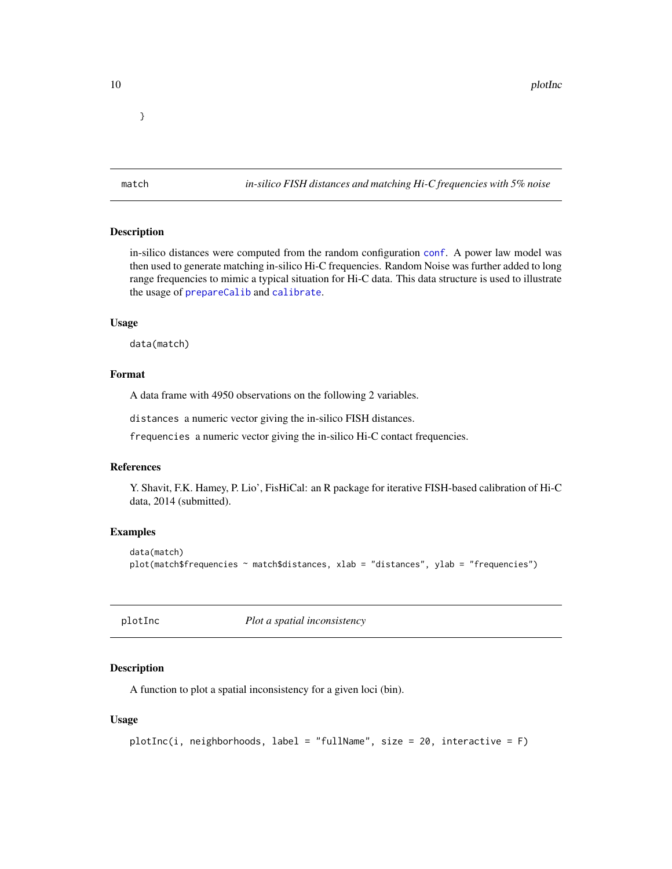<span id="page-9-0"></span>}

<span id="page-9-2"></span>match *in-silico FISH distances and matching Hi-C frequencies with 5% noise*

#### Description

in-silico distances were computed from the random configuration [conf](#page-3-1). A power law model was then used to generate matching in-silico Hi-C frequencies. Random Noise was further added to long range frequencies to mimic a typical situation for Hi-C data. This data structure is used to illustrate the usage of [prepareCalib](#page-11-1) and [calibrate](#page-2-1).

#### Usage

data(match)

#### Format

A data frame with 4950 observations on the following 2 variables.

distances a numeric vector giving the in-silico FISH distances.

frequencies a numeric vector giving the in-silico Hi-C contact frequencies.

#### References

Y. Shavit, F.K. Hamey, P. Lio', FisHiCal: an R package for iterative FISH-based calibration of Hi-C data, 2014 (submitted).

#### Examples

```
data(match)
plot(match$frequencies ~ match$distances, xlab = "distances", ylab = "frequencies")
```
<span id="page-9-1"></span>plotInc *Plot a spatial inconsistency*

#### Description

A function to plot a spatial inconsistency for a given loci (bin).

#### Usage

```
plotInc(i, neighborhoods, label = "fullName", size = 20, interactive = F)
```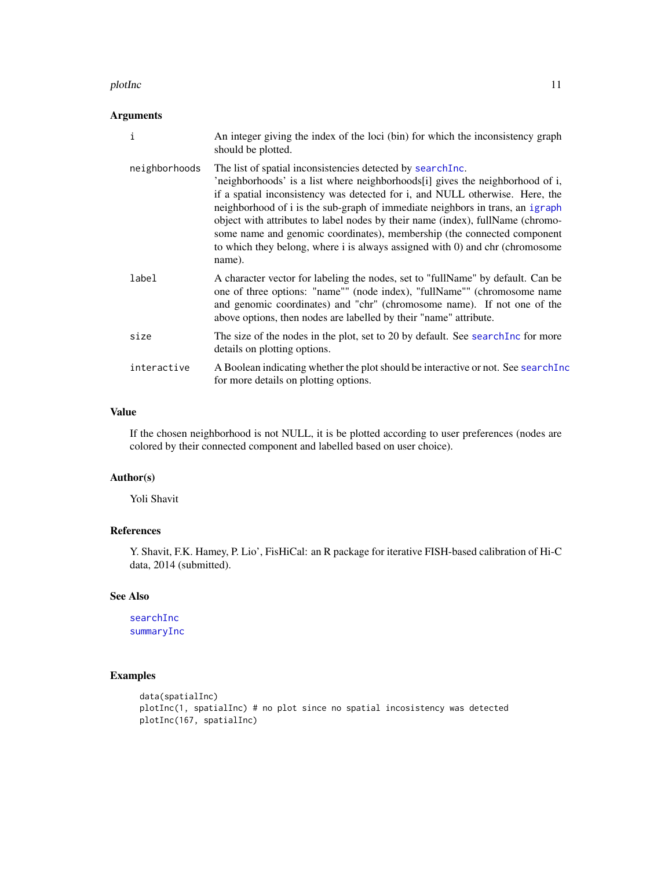#### <span id="page-10-0"></span>plotInc that the state of the state of the state of the state of the state of the state of the state of the state of the state of the state of the state of the state of the state of the state of the state of the state of t

#### Arguments

| $\mathbf{i}$  | An integer giving the index of the loci (bin) for which the inconsistency graph<br>should be plotted.                                                                                                                                                                                                                                                                                                                                                                                                                                                                |
|---------------|----------------------------------------------------------------------------------------------------------------------------------------------------------------------------------------------------------------------------------------------------------------------------------------------------------------------------------------------------------------------------------------------------------------------------------------------------------------------------------------------------------------------------------------------------------------------|
| neighborhoods | The list of spatial inconsistencies detected by search Inc.<br>'neighborhoods' is a list where neighborhoods[i] gives the neighborhood of i,<br>if a spatial inconsistency was detected for i, and NULL otherwise. Here, the<br>neighborhood of i is the sub-graph of immediate neighbors in trans, an igraph<br>object with attributes to label nodes by their name (index), fullName (chromo-<br>some name and genomic coordinates), membership (the connected component<br>to which they belong, where i is always assigned with 0) and chr (chromosome<br>name). |
| label         | A character vector for labeling the nodes, set to "fullName" by default. Can be<br>one of three options: "name"" (node index), "fullName"" (chromosome name<br>and genomic coordinates) and "chr" (chromosome name). If not one of the<br>above options, then nodes are labelled by their "name" attribute.                                                                                                                                                                                                                                                          |
| size          | The size of the nodes in the plot, set to 20 by default. See search Inc for more<br>details on plotting options.                                                                                                                                                                                                                                                                                                                                                                                                                                                     |
| interactive   | A Boolean indicating whether the plot should be interactive or not. See search Inc<br>for more details on plotting options.                                                                                                                                                                                                                                                                                                                                                                                                                                          |

#### Value

If the chosen neighborhood is not NULL, it is be plotted according to user preferences (nodes are colored by their connected component and labelled based on user choice).

#### Author(s)

Yoli Shavit

#### References

Y. Shavit, F.K. Hamey, P. Lio', FisHiCal: an R package for iterative FISH-based calibration of Hi-C data, 2014 (submitted).

#### See Also

[searchInc](#page-14-1) [summaryInc](#page-16-1)

```
data(spatialInc)
plotInc(1, spatialInc) # no plot since no spatial incosistency was detected
plotInc(167, spatialInc)
```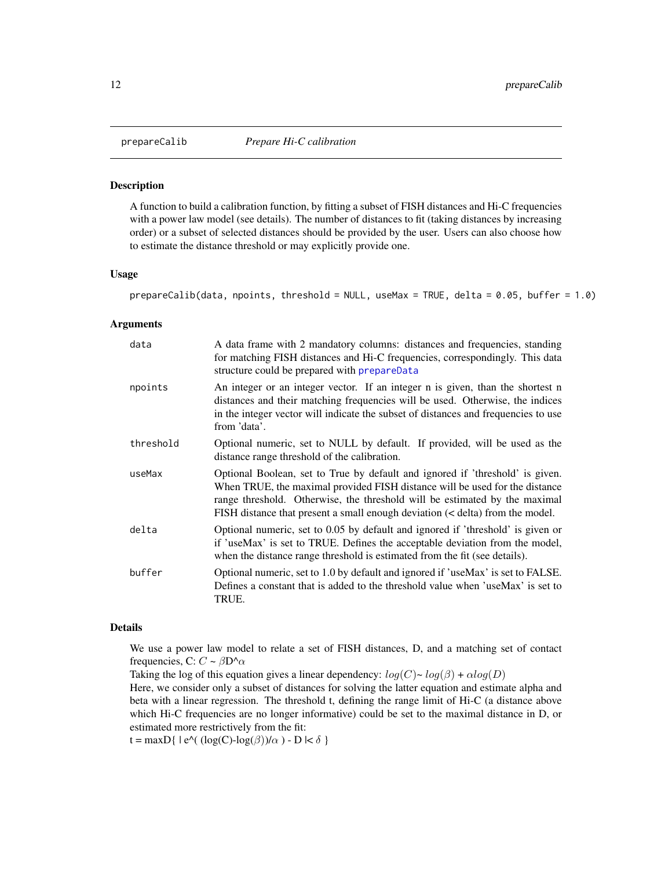<span id="page-11-1"></span><span id="page-11-0"></span>

A function to build a calibration function, by fitting a subset of FISH distances and Hi-C frequencies with a power law model (see details). The number of distances to fit (taking distances by increasing order) or a subset of selected distances should be provided by the user. Users can also choose how to estimate the distance threshold or may explicitly provide one.

#### Usage

```
prepareCalib(data, npoints, threshold = NULL, useMax = TRUE, delta = 0.05, buffer = 1.0)
```
#### Arguments

| data      | A data frame with 2 mandatory columns: distances and frequencies, standing<br>for matching FISH distances and Hi-C frequencies, correspondingly. This data<br>structure could be prepared with prepareData                                                                                                                  |
|-----------|-----------------------------------------------------------------------------------------------------------------------------------------------------------------------------------------------------------------------------------------------------------------------------------------------------------------------------|
| npoints   | An integer or an integer vector. If an integer n is given, than the shortest n<br>distances and their matching frequencies will be used. Otherwise, the indices<br>in the integer vector will indicate the subset of distances and frequencies to use<br>from 'data'.                                                       |
| threshold | Optional numeric, set to NULL by default. If provided, will be used as the<br>distance range threshold of the calibration.                                                                                                                                                                                                  |
| useMax    | Optional Boolean, set to True by default and ignored if 'threshold' is given.<br>When TRUE, the maximal provided FISH distance will be used for the distance<br>range threshold. Otherwise, the threshold will be estimated by the maximal<br>FISH distance that present a small enough deviation (< delta) from the model. |
| delta     | Optional numeric, set to 0.05 by default and ignored if 'threshold' is given or<br>if 'useMax' is set to TRUE. Defines the acceptable deviation from the model,<br>when the distance range threshold is estimated from the fit (see details).                                                                               |
| buffer    | Optional numeric, set to 1.0 by default and ignored if 'useMax' is set to FALSE.<br>Defines a constant that is added to the threshold value when 'useMax' is set to<br>TRUE.                                                                                                                                                |

#### Details

We use a power law model to relate a set of FISH distances, D, and a matching set of contact frequencies, C:  $C \sim \beta D^{\wedge} \alpha$ 

Taking the log of this equation gives a linear dependency:  $log(C) \sim log(\beta) + \alpha log(D)$ 

Here, we consider only a subset of distances for solving the latter equation and estimate alpha and beta with a linear regression. The threshold t, defining the range limit of Hi-C (a distance above which Hi-C frequencies are no longer informative) could be set to the maximal distance in D, or estimated more restrictively from the fit:

t = maxD{  $|e^{\Lambda}((\log(C)-\log(\beta))/\alpha) - D| < \delta$  }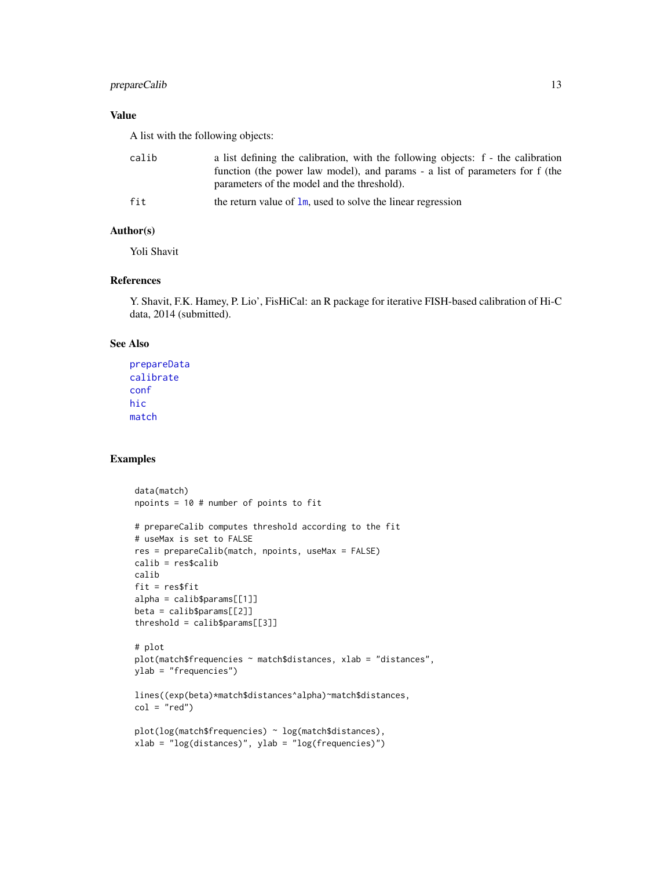#### <span id="page-12-0"></span>prepareCalib 13

#### Value

A list with the following objects:

| calib | a list defining the calibration, with the following objects: f - the calibration<br>function (the power law model), and params - a list of parameters for f (the<br>parameters of the model and the threshold). |
|-------|-----------------------------------------------------------------------------------------------------------------------------------------------------------------------------------------------------------------|
| fit   | the return value of $\text{lm}$ , used to solve the linear regression                                                                                                                                           |

#### Author(s)

Yoli Shavit

#### References

Y. Shavit, F.K. Hamey, P. Lio', FisHiCal: an R package for iterative FISH-based calibration of Hi-C data, 2014 (submitted).

#### See Also

```
prepareData
calibrate
conf
hic
match
```

```
data(match)
npoints = 10 # number of points to fit
# prepareCalib computes threshold according to the fit
# useMax is set to FALSE
res = prepareCalib(match, npoints, useMax = FALSE)
calib = res$calib
calib
fit = res$fit
alpha = calib$params[[1]]
beta = calib$params[[2]]
threshold = calib$params[[3]]
# plot
plot(match$frequencies ~ match$distances, xlab = "distances",
ylab = "frequencies")
lines((exp(beta)*match$distances^alpha)~match$distances,
col = "red")plot(log(match$frequencies) ~ log(match$distances),
xlab = "log(distances)", ylab = "log(frequencies)")
```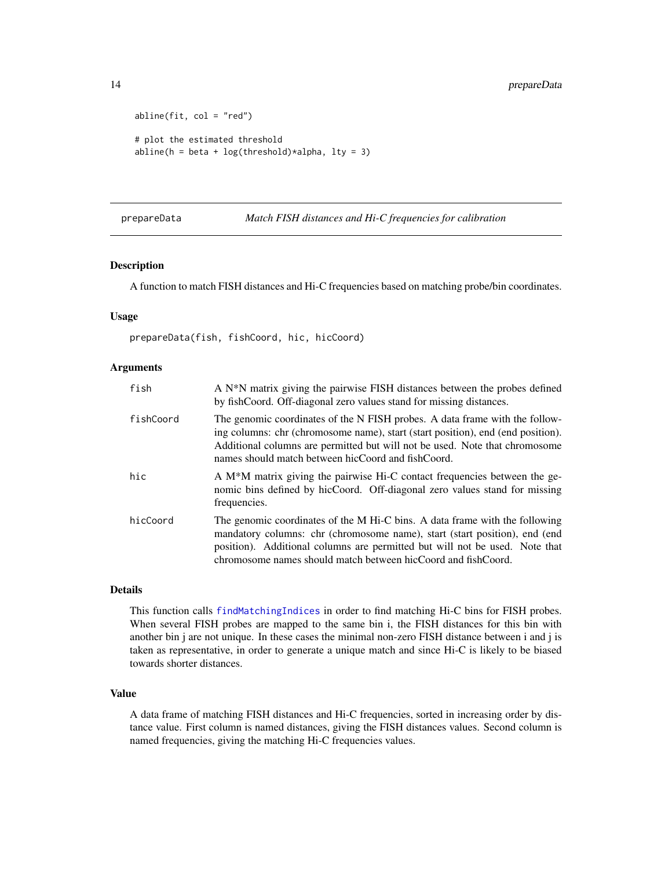```
abline(fit, col = "red")# plot the estimated threshold
abline(h = beta + log(threshold)*alpha, lty = 3)
```
#### <span id="page-13-1"></span>prepareData *Match FISH distances and Hi-C frequencies for calibration*

#### Description

A function to match FISH distances and Hi-C frequencies based on matching probe/bin coordinates.

#### Usage

prepareData(fish, fishCoord, hic, hicCoord)

#### Arguments

| fish      | A N <sup>*</sup> N matrix giving the pairwise FISH distances between the probes defined<br>by fishCoord. Off-diagonal zero values stand for missing distances.                                                                                                                                            |
|-----------|-----------------------------------------------------------------------------------------------------------------------------------------------------------------------------------------------------------------------------------------------------------------------------------------------------------|
| fishCoord | The genomic coordinates of the N FISH probes. A data frame with the follow-<br>ing columns: chr (chromosome name), start (start position), end (end position).<br>Additional columns are permitted but will not be used. Note that chromosome<br>names should match between hicCoord and fishCoord.       |
| hic       | A M <sup>*</sup> M matrix giving the pairwise Hi-C contact frequencies between the ge-<br>nomic bins defined by hicCoord. Off-diagonal zero values stand for missing<br>frequencies.                                                                                                                      |
| hicCoord  | The genomic coordinates of the M Hi-C bins. A data frame with the following<br>mandatory columns: chr (chromosome name), start (start position), end (end<br>position). Additional columns are permitted but will not be used. Note that<br>chromosome names should match between hicCoord and fishCoord. |

#### Details

This function calls [findMatchingIndices](#page-4-1) in order to find matching Hi-C bins for FISH probes. When several FISH probes are mapped to the same bin i, the FISH distances for this bin with another bin j are not unique. In these cases the minimal non-zero FISH distance between i and j is taken as representative, in order to generate a unique match and since Hi-C is likely to be biased towards shorter distances.

#### Value

A data frame of matching FISH distances and Hi-C frequencies, sorted in increasing order by distance value. First column is named distances, giving the FISH distances values. Second column is named frequencies, giving the matching Hi-C frequencies values.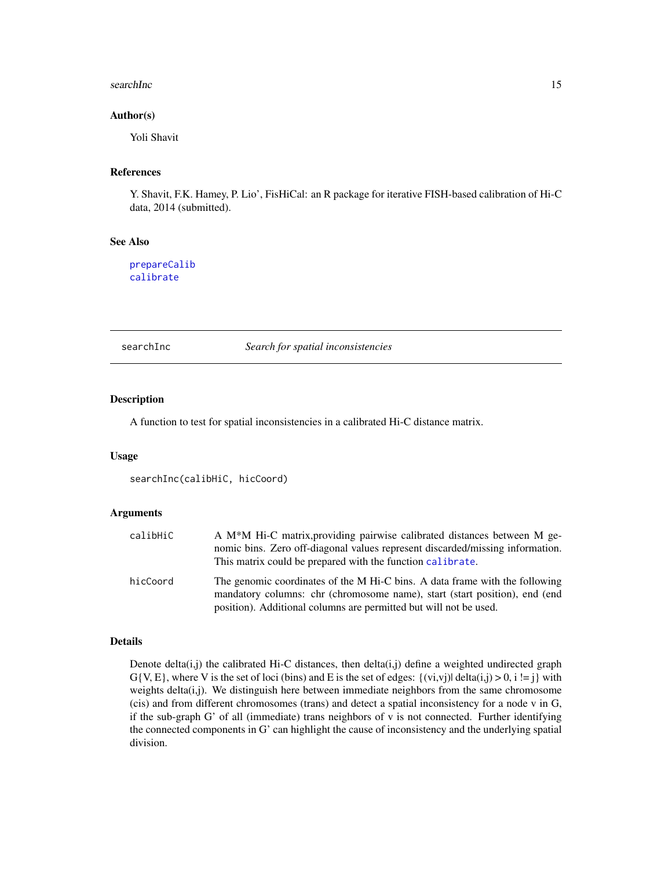#### <span id="page-14-0"></span>searchInc 15

#### Author(s)

Yoli Shavit

#### References

Y. Shavit, F.K. Hamey, P. Lio', FisHiCal: an R package for iterative FISH-based calibration of Hi-C data, 2014 (submitted).

#### See Also

[prepareCalib](#page-11-1) [calibrate](#page-2-1)

<span id="page-14-1"></span>searchInc *Search for spatial inconsistencies*

#### Description

A function to test for spatial inconsistencies in a calibrated Hi-C distance matrix.

#### Usage

```
searchInc(calibHiC, hicCoord)
```
#### Arguments

| calibHiC | A M <sup>*</sup> M H <sub>i</sub> -C matrix, providing pairwise calibrated distances between M ge-<br>nomic bins. Zero off-diagonal values represent discarded/missing information.<br>This matrix could be prepared with the function calibrate. |
|----------|---------------------------------------------------------------------------------------------------------------------------------------------------------------------------------------------------------------------------------------------------|
| hicCoord | The genomic coordinates of the M Hi-C bins. A data frame with the following<br>mandatory columns: chr (chromosome name), start (start position), end (end<br>position). Additional columns are permitted but will not be used.                    |

#### Details

Denote delta(i,j) the calibrated Hi-C distances, then delta(i,j) define a weighted undirected graph  $G\{V, E\}$ , where V is the set of loci (bins) and E is the set of edges:  $\{(vi, vi)|$  delta(i,j) > 0, i != j} with weights delta(i,j). We distinguish here between immediate neighbors from the same chromosome (cis) and from different chromosomes (trans) and detect a spatial inconsistency for a node v in G, if the sub-graph G' of all (immediate) trans neighbors of v is not connected. Further identifying the connected components in G' can highlight the cause of inconsistency and the underlying spatial division.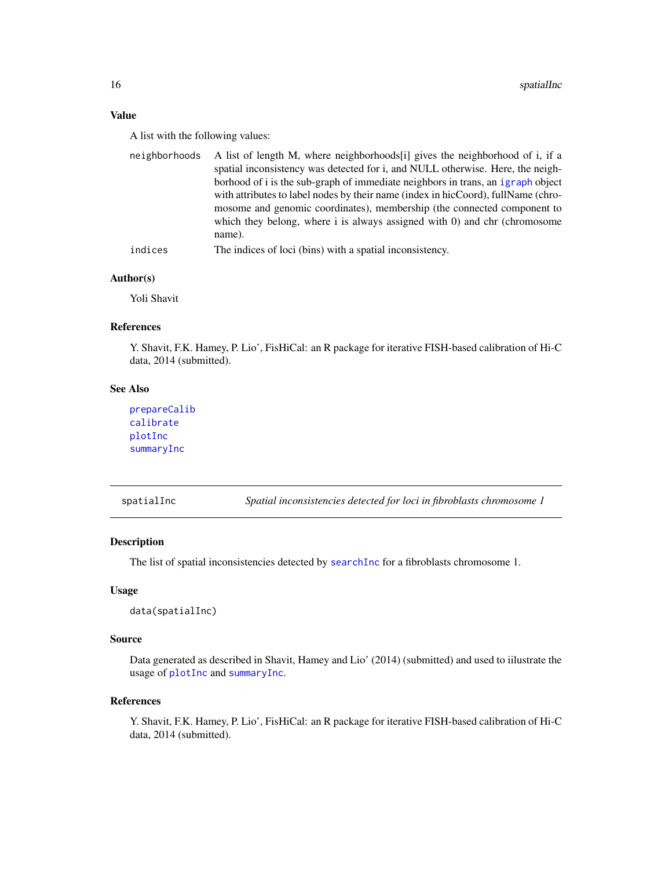#### <span id="page-15-0"></span>Value

A list with the following values:

| neighborhoods | A list of length M, where neighborhoods [i] gives the neighborhood of i, if a<br>spatial inconsistency was detected for i, and NULL otherwise. Here, the neigh-<br>borhood of i is the sub-graph of immediate neighbors in trans, an igraph object<br>with attributes to label nodes by their name (index in hicCoord), fullName (chro-<br>mosome and genomic coordinates), membership (the connected component to |
|---------------|--------------------------------------------------------------------------------------------------------------------------------------------------------------------------------------------------------------------------------------------------------------------------------------------------------------------------------------------------------------------------------------------------------------------|
|               | which they belong, where i is always assigned with 0) and chr (chromosome<br>name).                                                                                                                                                                                                                                                                                                                                |
| indices       | The indices of loci (bins) with a spatial inconsistency.                                                                                                                                                                                                                                                                                                                                                           |

#### Author(s)

Yoli Shavit

#### References

Y. Shavit, F.K. Hamey, P. Lio', FisHiCal: an R package for iterative FISH-based calibration of Hi-C data, 2014 (submitted).

#### See Also

[prepareCalib](#page-11-1) [calibrate](#page-2-1) [plotInc](#page-9-1) [summaryInc](#page-16-1)

spatialInc *Spatial inconsistencies detected for loci in fibroblasts chromosome 1*

#### Description

The list of spatial inconsistencies detected by [searchInc](#page-14-1) for a fibroblasts chromosome 1.

#### Usage

```
data(spatialInc)
```
#### Source

Data generated as described in Shavit, Hamey and Lio' (2014) (submitted) and used to iilustrate the usage of [plotInc](#page-9-1) and [summaryInc](#page-16-1).

#### References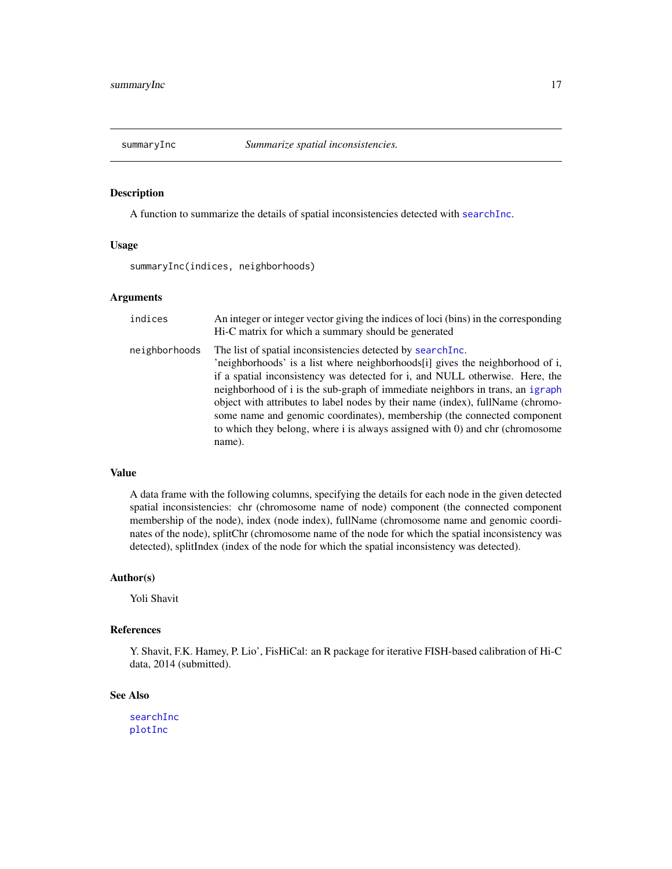<span id="page-16-1"></span><span id="page-16-0"></span>

A function to summarize the details of spatial inconsistencies detected with [searchInc](#page-14-1).

#### Usage

summaryInc(indices, neighborhoods)

#### Arguments

| indices       | An integer or integer vector giving the indices of loci (bins) in the corresponding<br>Hi-C matrix for which a summary should be generated                                                                                                                                                                                                                                                                                                                                                                                                                           |
|---------------|----------------------------------------------------------------------------------------------------------------------------------------------------------------------------------------------------------------------------------------------------------------------------------------------------------------------------------------------------------------------------------------------------------------------------------------------------------------------------------------------------------------------------------------------------------------------|
| neighborhoods | The list of spatial inconsistencies detected by search Inc.<br>'neighborhoods' is a list where neighborhoods[i] gives the neighborhood of i,<br>if a spatial inconsistency was detected for i, and NULL otherwise. Here, the<br>neighborhood of i is the sub-graph of immediate neighbors in trans, an igraph<br>object with attributes to label nodes by their name (index), fullName (chromo-<br>some name and genomic coordinates), membership (the connected component<br>to which they belong, where i is always assigned with 0) and chr (chromosome<br>name). |

#### Value

A data frame with the following columns, specifying the details for each node in the given detected spatial inconsistencies: chr (chromosome name of node) component (the connected component membership of the node), index (node index), fullName (chromosome name and genomic coordinates of the node), splitChr (chromosome name of the node for which the spatial inconsistency was detected), splitIndex (index of the node for which the spatial inconsistency was detected).

#### Author(s)

Yoli Shavit

#### References

Y. Shavit, F.K. Hamey, P. Lio', FisHiCal: an R package for iterative FISH-based calibration of Hi-C data, 2014 (submitted).

#### See Also

[searchInc](#page-14-1) [plotInc](#page-9-1)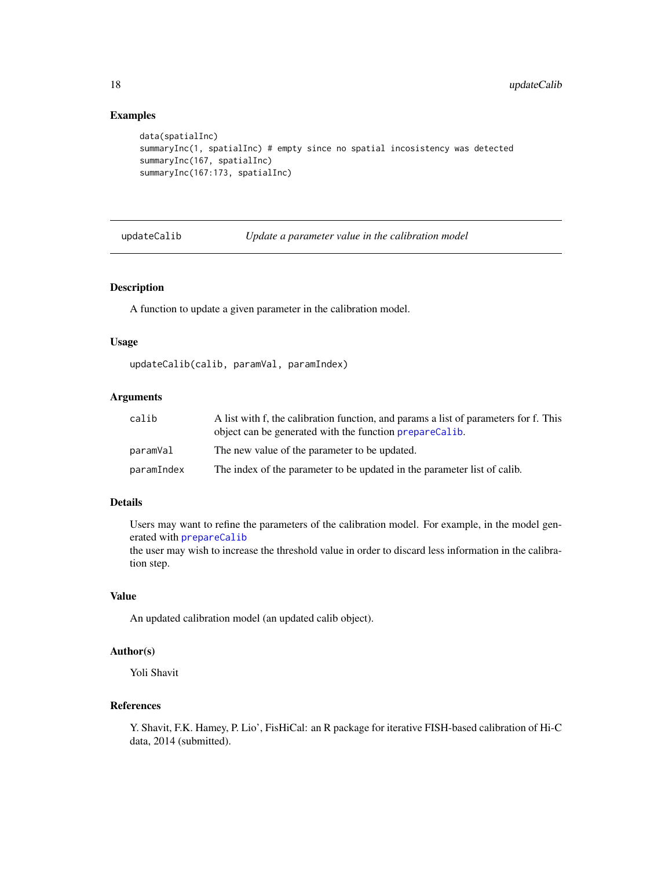#### Examples

```
data(spatialInc)
summaryInc(1, spatialInc) # empty since no spatial incosistency was detected
summaryInc(167, spatialInc)
summaryInc(167:173, spatialInc)
```
updateCalib *Update a parameter value in the calibration model*

#### Description

A function to update a given parameter in the calibration model.

#### Usage

updateCalib(calib, paramVal, paramIndex)

#### Arguments

| calib      | A list with f, the calibration function, and params a list of parameters for f. This<br>object can be generated with the function prepareCalib. |
|------------|-------------------------------------------------------------------------------------------------------------------------------------------------|
| paramVal   | The new value of the parameter to be updated.                                                                                                   |
| paramIndex | The index of the parameter to be updated in the parameter list of calib.                                                                        |

#### Details

Users may want to refine the parameters of the calibration model. For example, in the model generated with [prepareCalib](#page-11-1)

the user may wish to increase the threshold value in order to discard less information in the calibration step.

#### Value

An updated calibration model (an updated calib object).

#### Author(s)

Yoli Shavit

#### References

<span id="page-17-0"></span>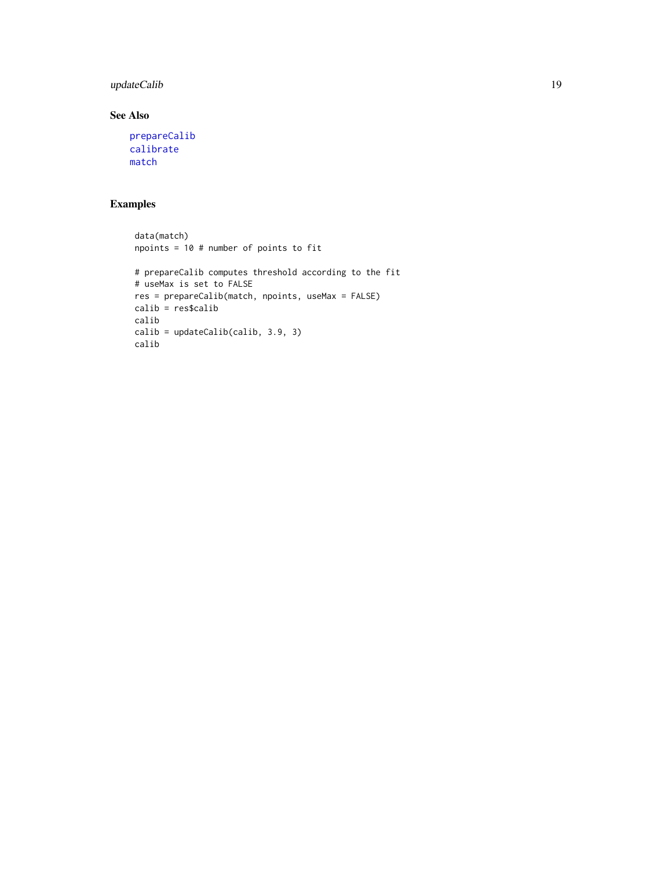#### <span id="page-18-0"></span>updateCalib 19

#### See Also

```
prepareCalib
calibrate
match
```

```
data(match)
npoints = 10 # number of points to fit
# prepareCalib computes threshold according to the fit
# useMax is set to FALSE
res = prepareCalib(match, npoints, useMax = FALSE)
calib = res$calib
calib
calib = updateCalib(calib, 3.9, 3)
calib
```